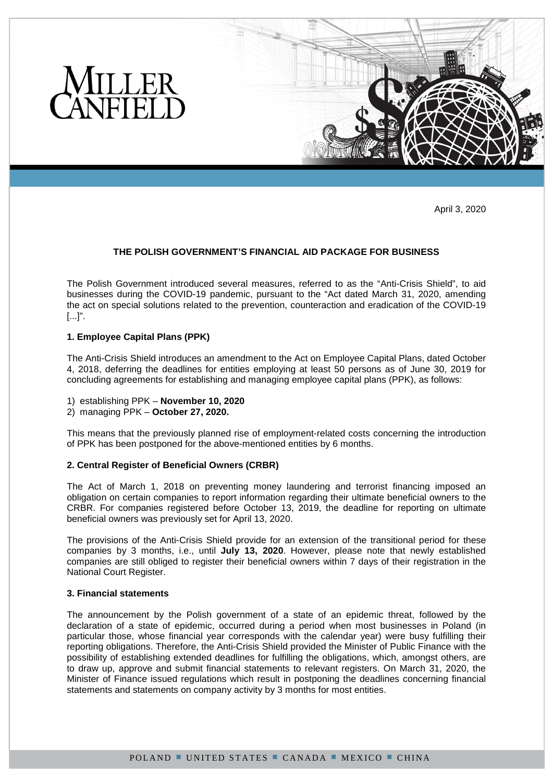

April 3, 2020

# **THE POLISH GOVERNMENT'S FINANCIAL AID PACKAGE FOR BUSINESS**

The Polish Government introduced several measures, referred to as the "Anti-Crisis Shield", to aid businesses during the COVID-19 pandemic, pursuant to the "Act dated March 31, 2020, amending the act on special solutions related to the prevention, counteraction and eradication of the COVID-19 [...]".

## **1. Employee Capital Plans (PPK)**

The Anti-Crisis Shield introduces an amendment to the Act on Employee Capital Plans, dated October 4, 2018, deferring the deadlines for entities employing at least 50 persons as of June 30, 2019 for concluding agreements for establishing and managing employee capital plans (PPK), as follows:

- 1) establishing PPK **November 10, 2020**
- 2) managing PPK **October 27, 2020.**

This means that the previously planned rise of employment-related costs concerning the introduction of PPK has been postponed for the above-mentioned entities by 6 months.

## **2. Central Register of Beneficial Owners (CRBR)**

The Act of March 1, 2018 on preventing money laundering and terrorist financing imposed an obligation on certain companies to report information regarding their ultimate beneficial owners to the CRBR. For companies registered before October 13, 2019, the deadline for reporting on ultimate beneficial owners was previously set for April 13, 2020.

The provisions of the Anti-Crisis Shield provide for an extension of the transitional period for these companies by 3 months, i.e., until **July 13, 2020**. However, please note that newly established companies are still obliged to register their beneficial owners within 7 days of their registration in the National Court Register.

## **3. Financial statements**

The announcement by the Polish government of a state of an epidemic threat, followed by the declaration of a state of epidemic, occurred during a period when most businesses in Poland (in particular those, whose financial year corresponds with the calendar year) were busy fulfilling their reporting obligations. Therefore, the Anti-Crisis Shield provided the Minister of Public Finance with the possibility of establishing extended deadlines for fulfilling the obligations, which, amongst others, are to draw up, approve and submit financial statements to relevant registers. On March 31, 2020, the Minister of Finance issued regulations which result in postponing the deadlines concerning financial statements and statements on company activity by 3 months for most entities.